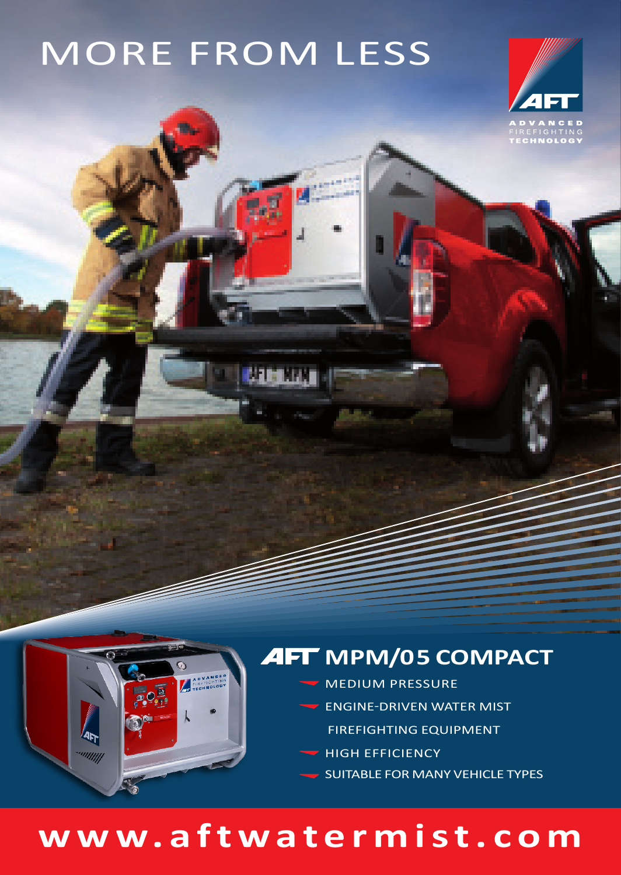# MORE FROM LESS





### **AFT MPM/05 COMPACT**

- MEDIUM PRESSURE
- $\blacktriangleright$  ENGINE-DRIVEN WATER MIST
	- FIREFIGHTING EQUIPMENT
- HIGH EFFICIENCY
- SUITABLE FOR MANY VEHICLE TYPES

## **www.aftwatermist.com**